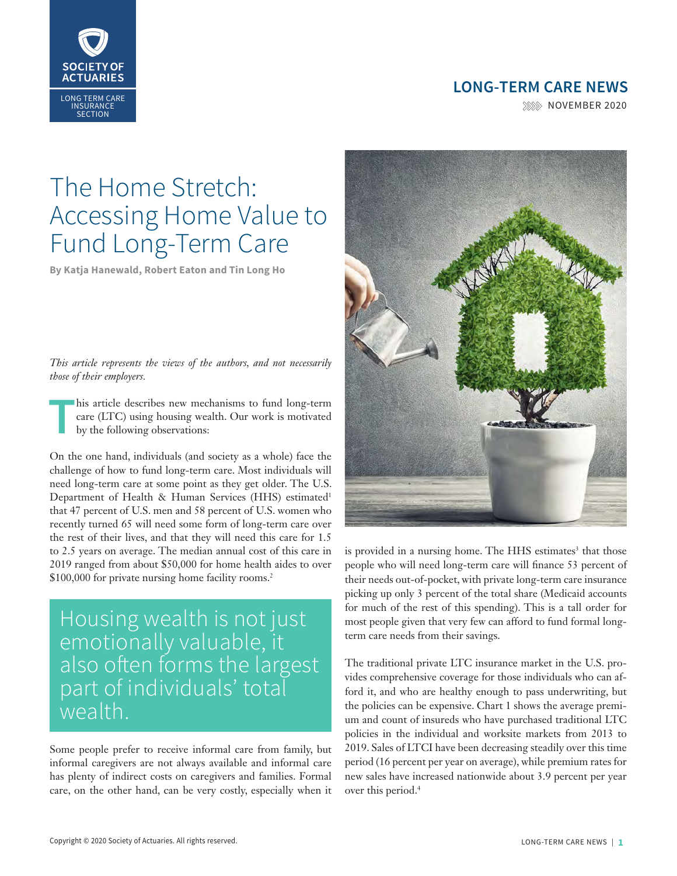

# **LONG-TERM CARE NEWS**

**NOVEMBER 2020** 

# The Home Stretch: Accessing Home Value to Fund Long-Term Care

**By Katja Hanewald, Robert Eaton and Tin Long Ho**

*This article represents the views of the authors, and not necessarily those of their employers.*

**T**his article describes new mechanisms to fund long-term care (LTC) using housing wealth. Our work is motivated by the following observations:

On the one hand, individuals (and society as a whole) face the challenge of how to fund long-term care. Most individuals will need long-term care at some point as they get older. The U.S. Department of Health & Human Services (HHS) estimated<sup>1</sup> that 47 percent of U.S. men and 58 percent of U.S. women who recently turned 65 will need some form of long-term care over the rest of their lives, and that they will need this care for 1.5 to 2.5 years on average. The median annual cost of this care in 2019 ranged from about \$50,000 for home health aides to over \$100,000 for private nursing home facility rooms.<sup>2</sup>

Housing wealth is not just emotionally valuable, it also often forms the largest part of individuals' total wealth.

Some people prefer to receive informal care from family, but informal caregivers are not always available and informal care has plenty of indirect costs on caregivers and families. Formal care, on the other hand, can be very costly, especially when it



is provided in a nursing home. The HHS estimates<sup>3</sup> that those people who will need long-term care will finance 53 percent of their needs out-of-pocket, with private long-term care insurance picking up only 3 percent of the total share (Medicaid accounts for much of the rest of this spending). This is a tall order for most people given that very few can afford to fund formal longterm care needs from their savings.

The traditional private LTC insurance market in the U.S. provides comprehensive coverage for those individuals who can afford it, and who are healthy enough to pass underwriting, but the policies can be expensive. Chart 1 shows the average premium and count of insureds who have purchased traditional LTC policies in the individual and worksite markets from 2013 to 2019. Sales of LTCI have been decreasing steadily over this time period (16 percent per year on average), while premium rates for new sales have increased nationwide about 3.9 percent per year over this period.<sup>4</sup>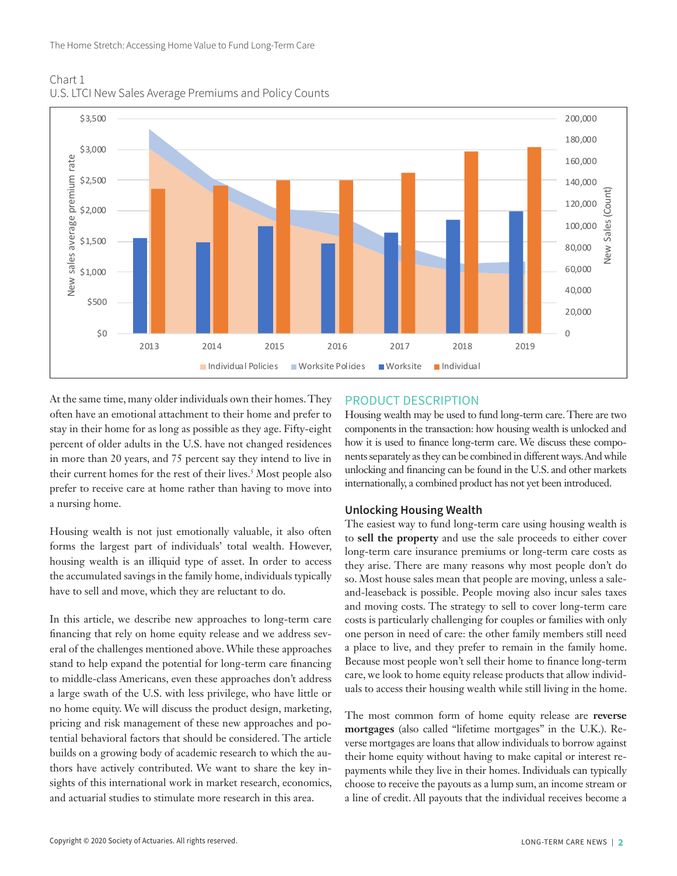

Chart 1 U.S. LTCI New Sales Average Premiums and Policy Counts

At the same time, many older individuals own their homes. They often have an emotional attachment to their home and prefer to stay in their home for as long as possible as they age. Fifty-eight percent of older adults in the U.S. have not changed residences in more than 20 years, and 75 percent say they intend to live in their current homes for the rest of their lives.<sup>5</sup> Most people also prefer to receive care at home rather than having to move into a nursing home.

Housing wealth is not just emotionally valuable, it also often forms the largest part of individuals' total wealth. However, housing wealth is an illiquid type of asset. In order to access the accumulated savings in the family home, individuals typically have to sell and move, which they are reluctant to do.

In this article, we describe new approaches to long-term care financing that rely on home equity release and we address several of the challenges mentioned above. While these approaches stand to help expand the potential for long-term care financing to middle-class Americans, even these approaches don't address a large swath of the U.S. with less privilege, who have little or no home equity. We will discuss the product design, marketing, pricing and risk management of these new approaches and potential behavioral factors that should be considered. The article builds on a growing body of academic research to which the authors have actively contributed. We want to share the key insights of this international work in market research, economics, and actuarial studies to stimulate more research in this area.

## PRODUCT DESCRIPTION

Housing wealth may be used to fund long-term care. There are two components in the transaction: how housing wealth is unlocked and how it is used to finance long-term care. We discuss these components separately as they can be combined in different ways. And while unlocking and financing can be found in the U.S. and other markets internationally, a combined product has not yet been introduced.

### **Unlocking Housing Wealth**

The easiest way to fund long-term care using housing wealth is to **sell the property** and use the sale proceeds to either cover long-term care insurance premiums or long-term care costs as they arise. There are many reasons why most people don't do so. Most house sales mean that people are moving, unless a saleand-leaseback is possible. People moving also incur sales taxes and moving costs. The strategy to sell to cover long-term care costs is particularly challenging for couples or families with only one person in need of care: the other family members still need a place to live, and they prefer to remain in the family home. Because most people won't sell their home to finance long-term care, we look to home equity release products that allow individuals to access their housing wealth while still living in the home.

The most common form of home equity release are **reverse mortgages** (also called "lifetime mortgages" in the U.K.). Reverse mortgages are loans that allow individuals to borrow against their home equity without having to make capital or interest repayments while they live in their homes. Individuals can typically choose to receive the payouts as a lump sum, an income stream or a line of credit. All payouts that the individual receives become a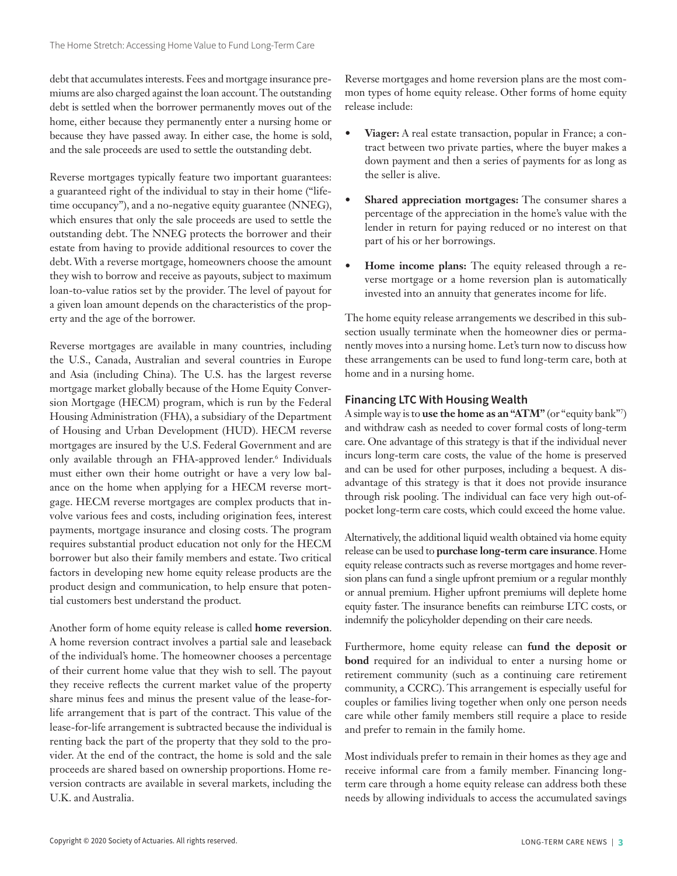debt that accumulates interests. Fees and mortgage insurance premiums are also charged against the loan account. The outstanding debt is settled when the borrower permanently moves out of the home, either because they permanently enter a nursing home or because they have passed away. In either case, the home is sold, and the sale proceeds are used to settle the outstanding debt.

Reverse mortgages typically feature two important guarantees: a guaranteed right of the individual to stay in their home ("lifetime occupancy"), and a no-negative equity guarantee (NNEG), which ensures that only the sale proceeds are used to settle the outstanding debt. The NNEG protects the borrower and their estate from having to provide additional resources to cover the debt. With a reverse mortgage, homeowners choose the amount they wish to borrow and receive as payouts, subject to maximum loan-to-value ratios set by the provider. The level of payout for a given loan amount depends on the characteristics of the property and the age of the borrower.

Reverse mortgages are available in many countries, including the U.S., Canada, Australian and several countries in Europe and Asia (including China). The U.S. has the largest reverse mortgage market globally because of the Home Equity Conversion Mortgage (HECM) program, which is run by the Federal Housing Administration (FHA), a subsidiary of the Department of Housing and Urban Development (HUD). HECM reverse mortgages are insured by the U.S. Federal Government and are only available through an FHA-approved lender.<sup>6</sup> Individuals must either own their home outright or have a very low balance on the home when applying for a HECM reverse mortgage. HECM reverse mortgages are complex products that involve various fees and costs, including origination fees, interest payments, mortgage insurance and closing costs. The program requires substantial product education not only for the HECM borrower but also their family members and estate. Two critical factors in developing new home equity release products are the product design and communication, to help ensure that potential customers best understand the product.

Another form of home equity release is called **home reversion**. A home reversion contract involves a partial sale and leaseback of the individual's home. The homeowner chooses a percentage of their current home value that they wish to sell. The payout they receive reflects the current market value of the property share minus fees and minus the present value of the lease-forlife arrangement that is part of the contract. This value of the lease-for-life arrangement is subtracted because the individual is renting back the part of the property that they sold to the provider. At the end of the contract, the home is sold and the sale proceeds are shared based on ownership proportions. Home reversion contracts are available in several markets, including the U.K. and Australia.

Reverse mortgages and home reversion plans are the most common types of home equity release. Other forms of home equity release include:

- **• Viager:** A real estate transaction, popular in France; a contract between two private parties, where the buyer makes a down payment and then a series of payments for as long as the seller is alive.
- **• Shared appreciation mortgages:** The consumer shares a percentage of the appreciation in the home's value with the lender in return for paying reduced or no interest on that part of his or her borrowings.
- **• Home income plans:** The equity released through a reverse mortgage or a home reversion plan is automatically invested into an annuity that generates income for life.

The home equity release arrangements we described in this subsection usually terminate when the homeowner dies or permanently moves into a nursing home. Let's turn now to discuss how these arrangements can be used to fund long-term care, both at home and in a nursing home.

#### **Financing LTC With Housing Wealth**

A simple way is to **use the home as an "ATM"** (or "equity bank"7 ) and withdraw cash as needed to cover formal costs of long-term care. One advantage of this strategy is that if the individual never incurs long-term care costs, the value of the home is preserved and can be used for other purposes, including a bequest. A disadvantage of this strategy is that it does not provide insurance through risk pooling. The individual can face very high out-ofpocket long-term care costs, which could exceed the home value.

Alternatively, the additional liquid wealth obtained via home equity release can be used to **purchase long-term care insurance**. Home equity release contracts such as reverse mortgages and home reversion plans can fund a single upfront premium or a regular monthly or annual premium. Higher upfront premiums will deplete home equity faster. The insurance benefits can reimburse LTC costs, or indemnify the policyholder depending on their care needs.

Furthermore, home equity release can **fund the deposit or bond** required for an individual to enter a nursing home or retirement community (such as a continuing care retirement community, a CCRC). This arrangement is especially useful for couples or families living together when only one person needs care while other family members still require a place to reside and prefer to remain in the family home.

Most individuals prefer to remain in their homes as they age and receive informal care from a family member. Financing longterm care through a home equity release can address both these needs by allowing individuals to access the accumulated savings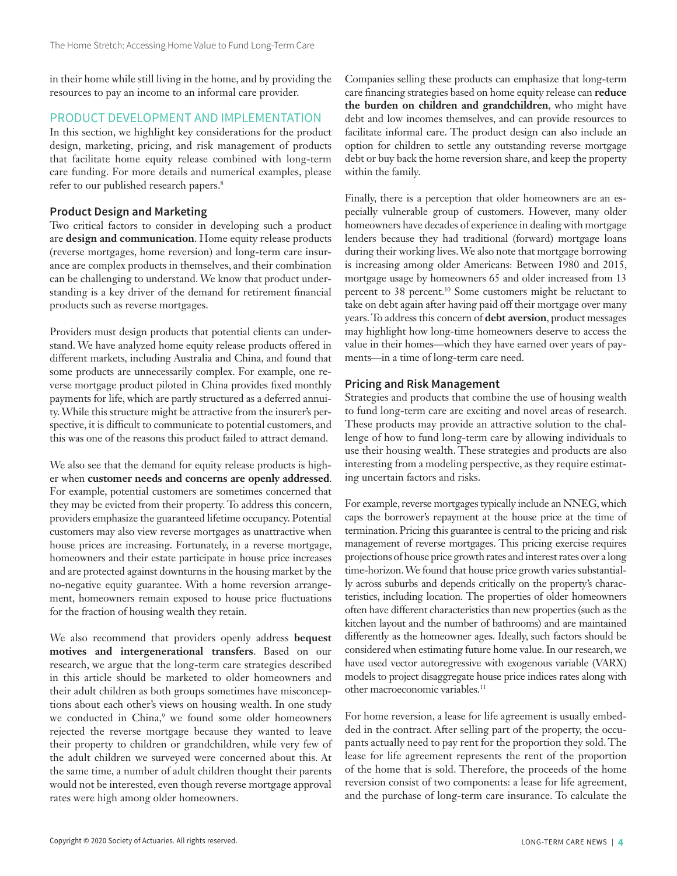in their home while still living in the home, and by providing the resources to pay an income to an informal care provider.

#### PRODUCT DEVELOPMENT AND IMPLEMENTATION

In this section, we highlight key considerations for the product design, marketing, pricing, and risk management of products that facilitate home equity release combined with long-term care funding. For more details and numerical examples, please refer to our published research papers.<sup>8</sup>

#### **Product Design and Marketing**

Two critical factors to consider in developing such a product are **design and communication**. Home equity release products (reverse mortgages, home reversion) and long-term care insurance are complex products in themselves, and their combination can be challenging to understand. We know that product understanding is a key driver of the demand for retirement financial products such as reverse mortgages.

Providers must design products that potential clients can understand. We have analyzed home equity release products offered in different markets, including Australia and China, and found that some products are unnecessarily complex. For example, one reverse mortgage product piloted in China provides fixed monthly payments for life, which are partly structured as a deferred annuity. While this structure might be attractive from the insurer's perspective, it is difficult to communicate to potential customers, and this was one of the reasons this product failed to attract demand.

We also see that the demand for equity release products is higher when **customer needs and concerns are openly addressed**. For example, potential customers are sometimes concerned that they may be evicted from their property. To address this concern, providers emphasize the guaranteed lifetime occupancy. Potential customers may also view reverse mortgages as unattractive when house prices are increasing. Fortunately, in a reverse mortgage, homeowners and their estate participate in house price increases and are protected against downturns in the housing market by the no-negative equity guarantee. With a home reversion arrangement, homeowners remain exposed to house price fluctuations for the fraction of housing wealth they retain.

We also recommend that providers openly address **bequest motives and intergenerational transfers**. Based on our research, we argue that the long-term care strategies described in this article should be marketed to older homeowners and their adult children as both groups sometimes have misconceptions about each other's views on housing wealth. In one study we conducted in China,<sup>9</sup> we found some older homeowners rejected the reverse mortgage because they wanted to leave their property to children or grandchildren, while very few of the adult children we surveyed were concerned about this. At the same time, a number of adult children thought their parents would not be interested, even though reverse mortgage approval rates were high among older homeowners.

Companies selling these products can emphasize that long-term care financing strategies based on home equity release can **reduce the burden on children and grandchildren**, who might have debt and low incomes themselves, and can provide resources to facilitate informal care. The product design can also include an option for children to settle any outstanding reverse mortgage debt or buy back the home reversion share, and keep the property within the family.

Finally, there is a perception that older homeowners are an especially vulnerable group of customers. However, many older homeowners have decades of experience in dealing with mortgage lenders because they had traditional (forward) mortgage loans during their working lives. We also note that mortgage borrowing is increasing among older Americans: Between 1980 and 2015, mortgage usage by homeowners 65 and older increased from 13 percent to 38 percent.10 Some customers might be reluctant to take on debt again after having paid off their mortgage over many years. To address this concern of **debt aversion**, product messages may highlight how long-time homeowners deserve to access the value in their homes—which they have earned over years of payments—in a time of long-term care need.

#### **Pricing and Risk Management**

Strategies and products that combine the use of housing wealth to fund long-term care are exciting and novel areas of research. These products may provide an attractive solution to the challenge of how to fund long-term care by allowing individuals to use their housing wealth. These strategies and products are also interesting from a modeling perspective, as they require estimating uncertain factors and risks.

For example, reverse mortgages typically include an NNEG, which caps the borrower's repayment at the house price at the time of termination. Pricing this guarantee is central to the pricing and risk management of reverse mortgages. This pricing exercise requires projections of house price growth rates and interest rates over a long time-horizon. We found that house price growth varies substantially across suburbs and depends critically on the property's characteristics, including location. The properties of older homeowners often have different characteristics than new properties (such as the kitchen layout and the number of bathrooms) and are maintained differently as the homeowner ages. Ideally, such factors should be considered when estimating future home value. In our research, we have used vector autoregressive with exogenous variable (VARX) models to project disaggregate house price indices rates along with other macroeconomic variables.11

For home reversion, a lease for life agreement is usually embedded in the contract. After selling part of the property, the occupants actually need to pay rent for the proportion they sold. The lease for life agreement represents the rent of the proportion of the home that is sold. Therefore, the proceeds of the home reversion consist of two components: a lease for life agreement, and the purchase of long-term care insurance. To calculate the